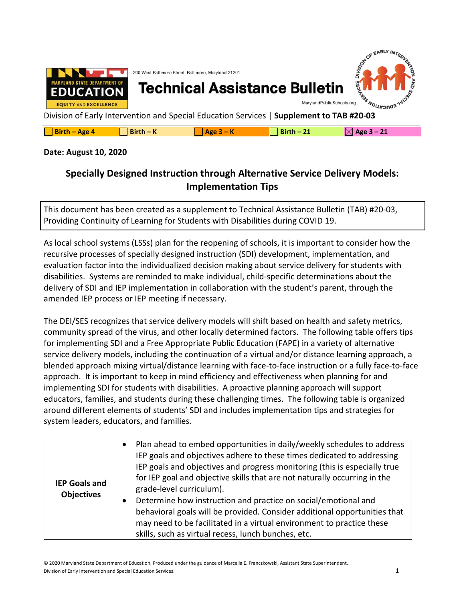

| $\Box$ Birth – Age 4 | $Birth - K$ | Age $3 -$ | $Birth-21$ | $\boxtimes$ Age 3 – 21 |
|----------------------|-------------|-----------|------------|------------------------|
|----------------------|-------------|-----------|------------|------------------------|

## **Date: August 10, 2020**

## **Specially Designed Instruction through Alternative Service Delivery Models: Implementation Tips**

This document has been created as a supplement to Technical Assistance Bulletin (TAB) #20-03, Providing Continuity of Learning for Students with Disabilities during COVID 19.

As local school systems (LSSs) plan for the reopening of schools, it is important to consider how the recursive processes of specially designed instruction (SDI) development, implementation, and evaluation factor into the individualized decision making about service delivery for students with disabilities. Systems are reminded to make individual, child-specific determinations about the delivery of SDI and IEP implementation in collaboration with the student's parent, through the amended IEP process or IEP meeting if necessary.

The DEI/SES recognizes that service delivery models will shift based on health and safety metrics, community spread of the virus, and other locally determined factors. The following table offers tips for implementing SDI and a Free Appropriate Public Education (FAPE) in a variety of alternative service delivery models, including the continuation of a virtual and/or distance learning approach, a blended approach mixing virtual/distance learning with face-to-face instruction or a fully face-to-face approach. It is important to keep in mind efficiency and effectiveness when planning for and implementing SDI for students with disabilities. A proactive planning approach will support educators, families, and students during these challenging times. The following table is organized around different elements of students' SDI and includes implementation tips and strategies for system leaders, educators, and families.

|                                           | Plan ahead to embed opportunities in daily/weekly schedules to address<br>$\bullet$                                                                                                                                                                                                                                                                                                                                                                                                                                                         |
|-------------------------------------------|---------------------------------------------------------------------------------------------------------------------------------------------------------------------------------------------------------------------------------------------------------------------------------------------------------------------------------------------------------------------------------------------------------------------------------------------------------------------------------------------------------------------------------------------|
| <b>IEP Goals and</b><br><b>Objectives</b> | IEP goals and objectives adhere to these times dedicated to addressing<br>IEP goals and objectives and progress monitoring (this is especially true<br>for IEP goal and objective skills that are not naturally occurring in the<br>grade-level curriculum).<br>Determine how instruction and practice on social/emotional and<br>behavioral goals will be provided. Consider additional opportunities that<br>may need to be facilitated in a virtual environment to practice these<br>skills, such as virtual recess, lunch bunches, etc. |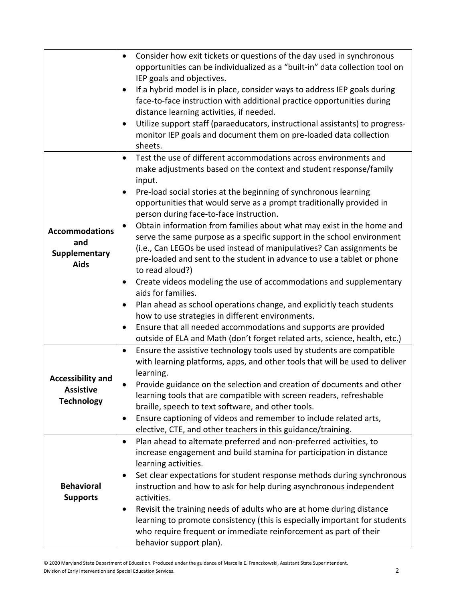|                          | Consider how exit tickets or questions of the day used in synchronous<br>$\bullet$                                                     |
|--------------------------|----------------------------------------------------------------------------------------------------------------------------------------|
|                          | opportunities can be individualized as a "built-in" data collection tool on                                                            |
|                          | IEP goals and objectives.                                                                                                              |
|                          | If a hybrid model is in place, consider ways to address IEP goals during<br>$\bullet$                                                  |
|                          | face-to-face instruction with additional practice opportunities during                                                                 |
|                          | distance learning activities, if needed.                                                                                               |
|                          | Utilize support staff (paraeducators, instructional assistants) to progress-<br>$\bullet$                                              |
|                          | monitor IEP goals and document them on pre-loaded data collection                                                                      |
|                          | sheets.                                                                                                                                |
|                          | Test the use of different accommodations across environments and<br>$\bullet$                                                          |
|                          | make adjustments based on the context and student response/family                                                                      |
|                          | input.                                                                                                                                 |
|                          | Pre-load social stories at the beginning of synchronous learning<br>$\bullet$                                                          |
|                          | opportunities that would serve as a prompt traditionally provided in                                                                   |
|                          | person during face-to-face instruction.                                                                                                |
| <b>Accommodations</b>    | Obtain information from families about what may exist in the home and<br>$\bullet$                                                     |
| and                      | serve the same purpose as a specific support in the school environment                                                                 |
| Supplementary            | (i.e., Can LEGOs be used instead of manipulatives? Can assignments be                                                                  |
| <b>Aids</b>              | pre-loaded and sent to the student in advance to use a tablet or phone                                                                 |
|                          | to read aloud?)                                                                                                                        |
|                          | Create videos modeling the use of accommodations and supplementary<br>$\bullet$                                                        |
|                          | aids for families.                                                                                                                     |
|                          | Plan ahead as school operations change, and explicitly teach students<br>$\bullet$                                                     |
|                          | how to use strategies in different environments.                                                                                       |
|                          | Ensure that all needed accommodations and supports are provided                                                                        |
|                          | outside of ELA and Math (don't forget related arts, science, health, etc.)                                                             |
|                          | Ensure the assistive technology tools used by students are compatible<br>$\bullet$                                                     |
|                          | with learning platforms, apps, and other tools that will be used to deliver                                                            |
| <b>Accessibility and</b> | learning.                                                                                                                              |
| <b>Assistive</b>         | Provide guidance on the selection and creation of documents and other<br>$\bullet$                                                     |
| <b>Technology</b>        | learning tools that are compatible with screen readers, refreshable                                                                    |
|                          | braille, speech to text software, and other tools.                                                                                     |
|                          | Ensure captioning of videos and remember to include related arts,<br>٠<br>elective, CTE, and other teachers in this guidance/training. |
|                          | Plan ahead to alternate preferred and non-preferred activities, to<br>$\bullet$                                                        |
|                          | increase engagement and build stamina for participation in distance                                                                    |
|                          | learning activities.                                                                                                                   |
|                          | Set clear expectations for student response methods during synchronous<br>٠                                                            |
| <b>Behavioral</b>        | instruction and how to ask for help during asynchronous independent                                                                    |
| <b>Supports</b>          | activities.                                                                                                                            |
|                          | Revisit the training needs of adults who are at home during distance<br>٠                                                              |
|                          | learning to promote consistency (this is especially important for students                                                             |
|                          | who require frequent or immediate reinforcement as part of their                                                                       |
|                          | behavior support plan).                                                                                                                |
|                          |                                                                                                                                        |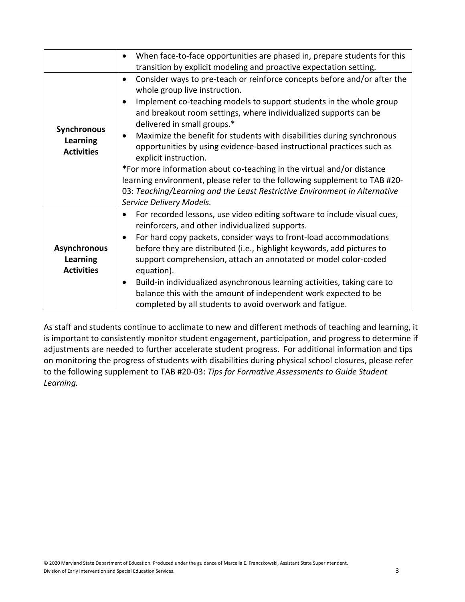|                                                             | When face-to-face opportunities are phased in, prepare students for this<br>$\bullet$<br>transition by explicit modeling and proactive expectation setting.                                                                                                                                                                                                                                                                                                                                                                                                                                                                                                                                                                                                 |
|-------------------------------------------------------------|-------------------------------------------------------------------------------------------------------------------------------------------------------------------------------------------------------------------------------------------------------------------------------------------------------------------------------------------------------------------------------------------------------------------------------------------------------------------------------------------------------------------------------------------------------------------------------------------------------------------------------------------------------------------------------------------------------------------------------------------------------------|
| <b>Synchronous</b><br><b>Learning</b><br><b>Activities</b>  | Consider ways to pre-teach or reinforce concepts before and/or after the<br>$\bullet$<br>whole group live instruction.<br>Implement co-teaching models to support students in the whole group<br>and breakout room settings, where individualized supports can be<br>delivered in small groups.*<br>Maximize the benefit for students with disabilities during synchronous<br>$\bullet$<br>opportunities by using evidence-based instructional practices such as<br>explicit instruction.<br>*For more information about co-teaching in the virtual and/or distance<br>learning environment, please refer to the following supplement to TAB #20-<br>03: Teaching/Learning and the Least Restrictive Environment in Alternative<br>Service Delivery Models. |
| <b>Asynchronous</b><br><b>Learning</b><br><b>Activities</b> | For recorded lessons, use video editing software to include visual cues,<br>$\bullet$<br>reinforcers, and other individualized supports.<br>For hard copy packets, consider ways to front-load accommodations<br>$\bullet$<br>before they are distributed (i.e., highlight keywords, add pictures to<br>support comprehension, attach an annotated or model color-coded<br>equation).<br>Build-in individualized asynchronous learning activities, taking care to<br>balance this with the amount of independent work expected to be<br>completed by all students to avoid overwork and fatigue.                                                                                                                                                            |

As staff and students continue to acclimate to new and different methods of teaching and learning, it is important to consistently monitor student engagement, participation, and progress to determine if adjustments are needed to further accelerate student progress. For additional information and tips on monitoring the progress of students with disabilities during physical school closures, please refer to the following supplement to TAB #20-03: *Tips for Formative Assessments to Guide Student Learning.*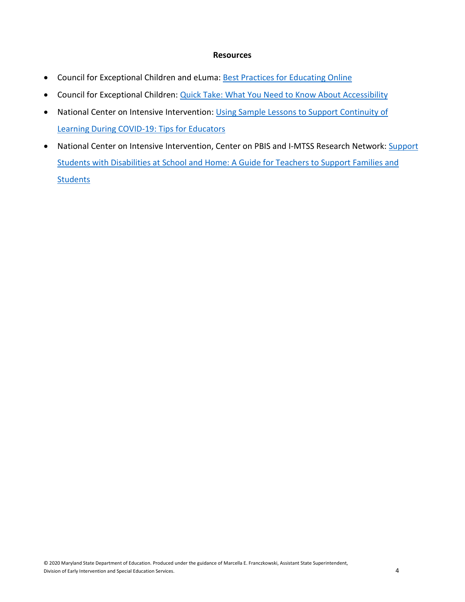## **Resources**

- Council for Exceptional Children and eLuma: [Best Practices for Educating Online](https://www.cec.sped.org/%7E/media/Files/Resources/Best%20Practices%20for%20Educating%20Online.pdf)
- Council for Exceptional Children: [Quick Take: What You Need to Know About Accessibility](https://cec.sped.org/Tools-and-Resources/Resources-for-Teaching-Remotely/Webinars/Quick-Takes-for-Teaching-Online/Quick-Take-Accessibility)
- National Center on Intensive Intervention: Using Sample Lessons to Support Continuity of [Learning During COVID-19: Tips for Educators](https://intensiveintervention.org/resource/continuity-learning-tips-educators)
- National Center on Intensive Intervention, Center on PBIS and I-MTSS Research Network: Support [Students with Disabilities at School and Home: A Guide for Teachers to Support Families and](https://assets-global.website-files.com/5d3725188825e071f1670246/5ec5b501d9dada332e1e545b_Supporting%20Students%20with%20Disabilities%20at%20School%20and%20Home-%20%20A%20Guide%20for%20Teachers%20to%20Support%20Families%20and%20Students.pdf)  **[Students](https://assets-global.website-files.com/5d3725188825e071f1670246/5ec5b501d9dada332e1e545b_Supporting%20Students%20with%20Disabilities%20at%20School%20and%20Home-%20%20A%20Guide%20for%20Teachers%20to%20Support%20Families%20and%20Students.pdf)**